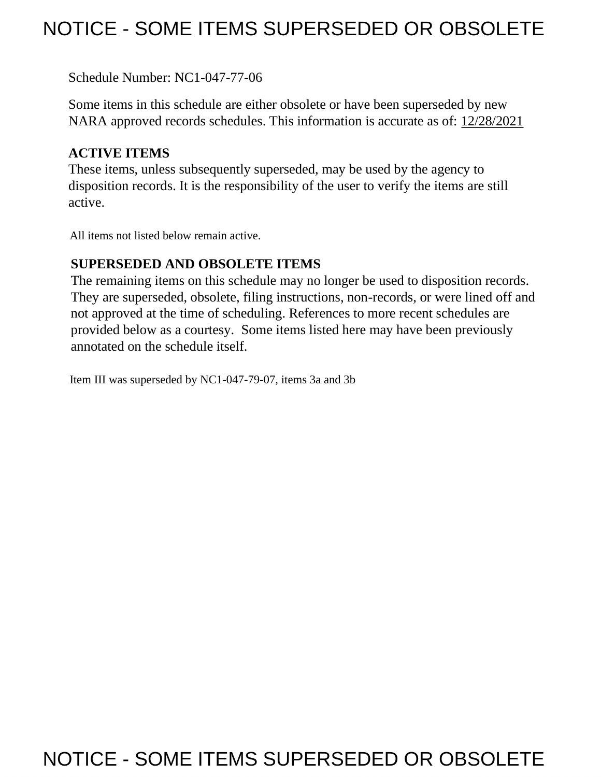# NOTICE - SOME ITEMS SUPERSEDED OR OBSOLETE

Schedule Number: NC1-047-77-06

 Some items in this schedule are either obsolete or have been superseded by new NARA approved records schedules. This information is accurate as of: 12/28/2021

## **ACTIVE ITEMS**

 These items, unless subsequently superseded, may be used by the agency to disposition records. It is the responsibility of the user to verify the items are still active.

All items not listed below remain active.

## **SUPERSEDED AND OBSOLETE ITEMS**

 The remaining items on this schedule may no longer be used to disposition records. not approved at the time of scheduling. References to more recent schedules are provided below as a courtesy. Some items listed here may have been previously They are superseded, obsolete, filing instructions, non-records, or were lined off and annotated on the schedule itself.

Item III was superseded by NC1-047-79-07, items 3a and 3b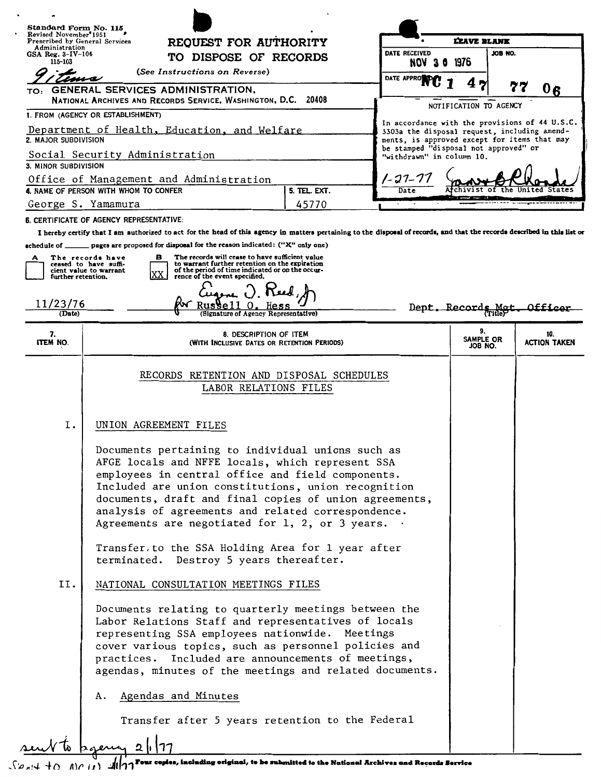|                                                                      | Standard Form No. 115<br>Revised November <sup>®</sup> 1951<br>REQUEST FOR AUTHORITY<br>Prescribed by General Services<br>TO DISPOSE OF RECORDS                                                                                                                                                                                                                                                                                                                                                                                                                                                                                                                                                                                                                                                                                                                                   |       |                                                                                                                                       | <b>LEAVE BLANK</b>         |                                                |  |
|----------------------------------------------------------------------|-----------------------------------------------------------------------------------------------------------------------------------------------------------------------------------------------------------------------------------------------------------------------------------------------------------------------------------------------------------------------------------------------------------------------------------------------------------------------------------------------------------------------------------------------------------------------------------------------------------------------------------------------------------------------------------------------------------------------------------------------------------------------------------------------------------------------------------------------------------------------------------|-------|---------------------------------------------------------------------------------------------------------------------------------------|----------------------------|------------------------------------------------|--|
| Administration<br>$GSA$ Reg. $3-IV-106$                              |                                                                                                                                                                                                                                                                                                                                                                                                                                                                                                                                                                                                                                                                                                                                                                                                                                                                                   |       | DATE RECEIVED                                                                                                                         | JOB NO.                    |                                                |  |
|                                                                      | <b>NOV 30</b><br>115-103<br>(See Instructions on Reverse)                                                                                                                                                                                                                                                                                                                                                                                                                                                                                                                                                                                                                                                                                                                                                                                                                         |       | 1976                                                                                                                                  |                            |                                                |  |
|                                                                      | TO: GENERAL SERVICES ADMINISTRATION,                                                                                                                                                                                                                                                                                                                                                                                                                                                                                                                                                                                                                                                                                                                                                                                                                                              |       | DATE APPROVED                                                                                                                         |                            | 77<br>06                                       |  |
| NATIONAL ARCHIVES AND RECORDS SERVICE, WASHINGTON, D.C. 20408        |                                                                                                                                                                                                                                                                                                                                                                                                                                                                                                                                                                                                                                                                                                                                                                                                                                                                                   |       |                                                                                                                                       | NOTIFICATION TO AGENCY     |                                                |  |
| 1. FROM (AGENCY OR ESTABLISHMENT)                                    |                                                                                                                                                                                                                                                                                                                                                                                                                                                                                                                                                                                                                                                                                                                                                                                                                                                                                   |       |                                                                                                                                       |                            | In accordance with the provisions of 44 U.S.C. |  |
| Department of Health, Education, and Welfare<br>2. MAJOR SUBDIVISION |                                                                                                                                                                                                                                                                                                                                                                                                                                                                                                                                                                                                                                                                                                                                                                                                                                                                                   |       | 3303a the disposal request, including amend-<br>ments, is approved except for items that may<br>be stamped "disposal not approved" or |                            |                                                |  |
| Social Security Administration<br>3. MINOR SUBDIVISION               |                                                                                                                                                                                                                                                                                                                                                                                                                                                                                                                                                                                                                                                                                                                                                                                                                                                                                   |       | "withdrawn" in column 10.                                                                                                             |                            |                                                |  |
| Office of Management and Administration                              |                                                                                                                                                                                                                                                                                                                                                                                                                                                                                                                                                                                                                                                                                                                                                                                                                                                                                   |       | 1-27-77                                                                                                                               |                            |                                                |  |
| 4. NAME OF PERSON WITH WHOM TO CONFER<br>5. TEL. EXT.<br>Date        |                                                                                                                                                                                                                                                                                                                                                                                                                                                                                                                                                                                                                                                                                                                                                                                                                                                                                   |       |                                                                                                                                       |                            |                                                |  |
| George S. Yamamura                                                   |                                                                                                                                                                                                                                                                                                                                                                                                                                                                                                                                                                                                                                                                                                                                                                                                                                                                                   | 45770 |                                                                                                                                       |                            |                                                |  |
|                                                                      | <b>6. CERTIFICATE OF AGENCY REPRESENTATIVE:</b><br>I hereby certify that I am authorized to act for the head of this agency in matters pertaining to the disposal of records, and that the records described in this list or                                                                                                                                                                                                                                                                                                                                                                                                                                                                                                                                                                                                                                                      |       |                                                                                                                                       |                            |                                                |  |
|                                                                      | schedule of $\qquad$ pages are proposed for disposal for the reason indicated: ("X" only one)                                                                                                                                                                                                                                                                                                                                                                                                                                                                                                                                                                                                                                                                                                                                                                                     |       |                                                                                                                                       |                            |                                                |  |
| further retention.                                                   | The records will cease to have sufficient value<br>в<br>The records have<br>to warrant further retention on the expiration<br>ceased to have suffi-<br>of the period of time indicated or on the occur-<br>cient value to warrant<br>XX<br>rence of the event specified.                                                                                                                                                                                                                                                                                                                                                                                                                                                                                                                                                                                                          |       |                                                                                                                                       |                            |                                                |  |
| 11/23/76                                                             |                                                                                                                                                                                                                                                                                                                                                                                                                                                                                                                                                                                                                                                                                                                                                                                                                                                                                   |       |                                                                                                                                       |                            |                                                |  |
| (Date)                                                               | (Signature of Agency Representative)                                                                                                                                                                                                                                                                                                                                                                                                                                                                                                                                                                                                                                                                                                                                                                                                                                              |       |                                                                                                                                       | Dept. Records Met          |                                                |  |
| 7.<br>ITEM NO.                                                       | 8. DESCRIPTION OF ITEM<br>(WITH INCLUSIVE DATES OR RETENTION PERIODS)                                                                                                                                                                                                                                                                                                                                                                                                                                                                                                                                                                                                                                                                                                                                                                                                             |       |                                                                                                                                       | 9.<br>SAMPLE OR<br>JOB NO. | 10.<br><b>ACTION TAKEN</b>                     |  |
|                                                                      | RECORDS RETENTION AND DISPOSAL SCHEDULES<br>LABOR RELATIONS FILES                                                                                                                                                                                                                                                                                                                                                                                                                                                                                                                                                                                                                                                                                                                                                                                                                 |       |                                                                                                                                       |                            |                                                |  |
| Ι.                                                                   | UNION AGREEMENT FILES                                                                                                                                                                                                                                                                                                                                                                                                                                                                                                                                                                                                                                                                                                                                                                                                                                                             |       |                                                                                                                                       |                            |                                                |  |
| II.                                                                  | Documents pertaining to individual unions such as<br>AFGE locals and NFFE locals, which represent SSA<br>employees in central office and field components.<br>Included are union constitutions, union recognition<br>documents, draft and final copies of union agreements,<br>analysis of agreements and related correspondence.<br>Agreements are negotiated for $1, 2,$ or 3 years. $\cdot$<br>Transfer to the SSA Holding Area for 1 year after<br>terminated. Destroy 5 years thereafter.<br>NATIONAL CONSULTATION MEETINGS FILES<br>Documents relating to quarterly meetings between the<br>Labor Relations Staff and representatives of locals<br>representing SSA employees nationwide. Meetings<br>cover various topics, such as personnel policies and<br>practices. Included are announcements of meetings,<br>agendas, minutes of the meetings and related documents. |       |                                                                                                                                       |                            |                                                |  |
|                                                                      | Agendas and Minutes<br>А.                                                                                                                                                                                                                                                                                                                                                                                                                                                                                                                                                                                                                                                                                                                                                                                                                                                         |       |                                                                                                                                       |                            |                                                |  |
|                                                                      | Transfer after 5 years retention to the Federal                                                                                                                                                                                                                                                                                                                                                                                                                                                                                                                                                                                                                                                                                                                                                                                                                                   |       |                                                                                                                                       |                            |                                                |  |
|                                                                      | 2 .17                                                                                                                                                                                                                                                                                                                                                                                                                                                                                                                                                                                                                                                                                                                                                                                                                                                                             |       |                                                                                                                                       |                            |                                                |  |

 $\sqrt{\varphi_A(A+B)}$  A) $\varphi_B(A)$  Four copies, including original, to be submitted to the National Archives and Records Service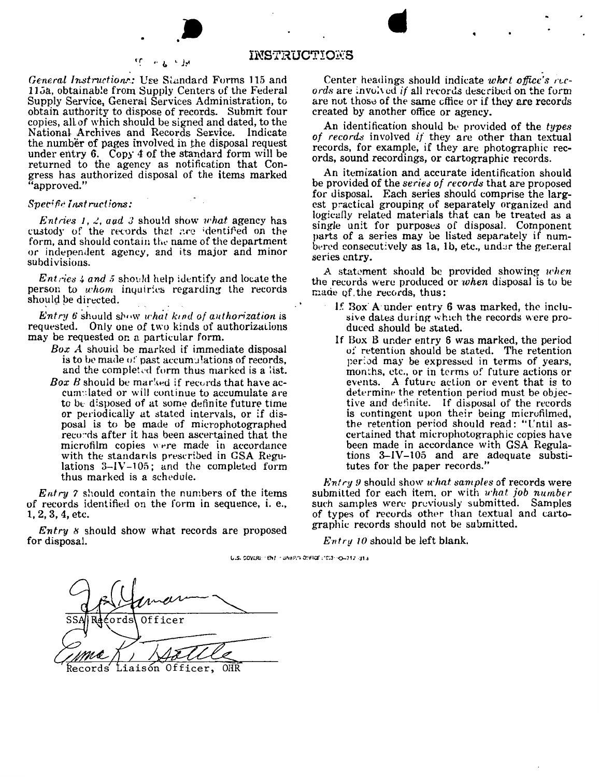

 $\sim$   $L$   $\sim$   $14$ 

#### INSTRUCTIONS

General Instructions: Use Standard Forms 115 and 115a, obtainable from Supply Centers of the Federal Supply Service, General Services Administration, to obtain authority to dispose of records. Submit four copies, all of which should be signed and dated, to the National Archives and Records Service. Indicate the number of pages involved in the disposal request under entry 6. Copy 4 of the standard form will be returned to the agency as notification that Congress has authorized disposal of the items marked 'approved."

٢r

#### Specific last ractions:

*Entries 1, 2, and 3* should show *what* agency has custody of the records that are identified on the form, and should contain the name of the department or independent agency, and its major and minor subdivisions.

*Entries 4 and 5* should help identify and locate the person to whom inquiries regarding the records should be directed.

Entry 6 should show what kind of authorization is requested. Only one of two kinds of authorizations may be requested on a particular form.

- Box A should be marked if immediate disposal is to be made of past accumulations of records, and the completed form thus marked is a list.
- **Box B** should be marked if records that have accumplated or will continue to accumulate are to be disposed of at some definite future time or periodically at stated intervals, or if disposal is to be made of microphotographed records after it has been ascertained that the microfilm copies were made in accordance with the standards prescribed in GSA Regulations  $3-\frac{1}{105}$ ; and the completed form thus marked is a schedule.

 $E<sub>ntry</sub>$  ? should contain the numbers of the items of records identified on the form in sequence, i. e.,  $1, 2, 3, 4,$  etc.

*Entry*  $\kappa$  should show what records are proposed for disposal.

Center headings should indicate what office's records are involved if all records described on the form are not those of the same office or if they are records created by another office or agency.

An identification should be provided of the types of records involved if they are other than textual records, for example, if they are photographic records, sound recordings, or cartographic records.

An itemization and accurate identification should be provided of the *series* of *records* that are proposed for disposal. Each series should comprise the largest practical grouping of separately organized and logically related materials that can be treated as a single unit for purposes of disposal. Component parts of a series may be listed separately if numbered consecutively as  $1a$ ,  $1b$ , etc., under the general series entry.

A statement should be provided showing when the records were produced or when disposal is to be made of the records, thus:

- 1. Box A under entry 6 was marked, the inclusive dates during which the records were produced should be stated.
- If Box B under entry 6 was marked, the period of retention should be stated. The retention period may be expressed in terms of years. months, etc., or in terms of future actions or events. A future action or event that is to determine the retention period must be objective and definite. If disposal of the records is contingent upon their being microfilmed, the retention period should read: "Until ascertained that microphotographic copies have been made in accordance with GSA Regulations 3-IV-105 and are adequate substitutes for the paper records."

*Entry 9* should show *what samples* of records were submitted for each item, or with what job number such samples were previously submitted. Samples of types of records other than textual and cartographic records should not be submitted.

 $Entry\ 10$  should be left blank.

U.S. COVERL: "ENT - SNHING OFFICE : 'CS3- <0-712-313

Officer ƙecords Liaisón Officer, OHR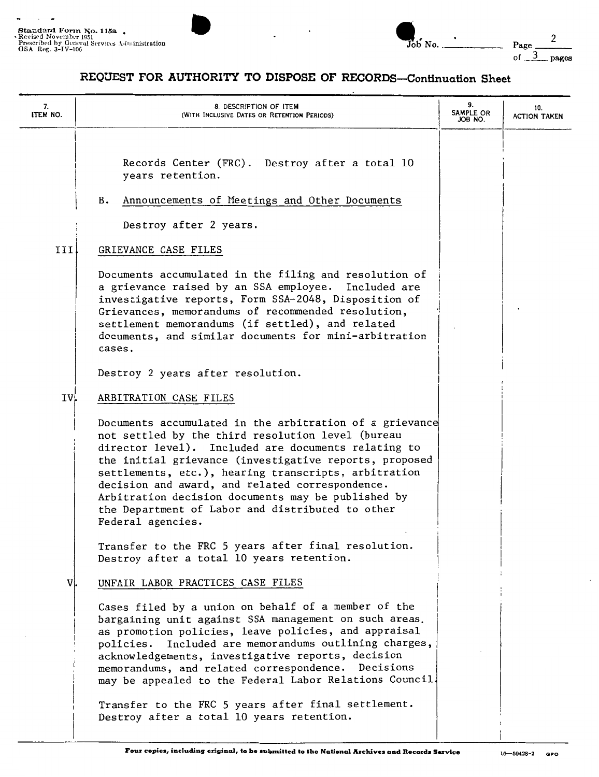$\ddot{ }$ 

 $\overline{\phantom{a}}$ 



### **REQUEST FOR AUTHORITY TO DISPOSE OF RECORDS-Continuation Sheet**

| 7.<br><b>ITEM NO.</b> | 8. DESCRIPTION OF ITEM<br>(WITH INCLUSIVE DATES OR RETENTION PERIODS)                                                                                                                                                                                                                                                                                                                                                                                                                                      | 9.<br>SAMPLE OR<br>JOB NO. | 10.<br><b>ACTION TAKEN</b> |
|-----------------------|------------------------------------------------------------------------------------------------------------------------------------------------------------------------------------------------------------------------------------------------------------------------------------------------------------------------------------------------------------------------------------------------------------------------------------------------------------------------------------------------------------|----------------------------|----------------------------|
|                       | Records Center (FRC). Destroy after a total 10<br>years retention.<br>Announcements of Meetings and Other Documents<br>в.<br>Destroy after 2 years.                                                                                                                                                                                                                                                                                                                                                        |                            |                            |
| III                   | GRIEVANCE CASE FILES                                                                                                                                                                                                                                                                                                                                                                                                                                                                                       |                            |                            |
|                       | Documents accumulated in the filing and resolution of<br>a grievance raised by an SSA employee. Included are<br>investigative reports, Form SSA-2048, Disposition of<br>Grievances, memorandums of recommended resolution,<br>settlement memorandums (if settled), and related<br>documents, and similar documents for mini-arbitration<br>cases.                                                                                                                                                          |                            |                            |
|                       | Destroy 2 years after resolution.                                                                                                                                                                                                                                                                                                                                                                                                                                                                          |                            |                            |
| IV.                   | ARBITRATION CASE FILES                                                                                                                                                                                                                                                                                                                                                                                                                                                                                     |                            |                            |
|                       | Documents accumulated in the arbitration of a grievance<br>not settled by the third resolution level (bureau<br>director level). Included are documents relating to<br>the initial grievance (investigative reports, proposed<br>settlements, etc.), hearing transcripts, arbitration<br>decision and award, and related correspondence.<br>Arbitration decision documents may be published by<br>the Department of Labor and distributed to other<br>Federal agencies.                                    |                            |                            |
|                       | Transfer to the FRC 5 years after final resolution.<br>Destroy after a total 10 years retention.                                                                                                                                                                                                                                                                                                                                                                                                           |                            |                            |
| V.                    | UNFAIR LABOR PRACTICES CASE FILES                                                                                                                                                                                                                                                                                                                                                                                                                                                                          |                            |                            |
|                       | Cases filed by a union on behalf of a member of the<br>bargaining unit against SSA management on such areas.<br>as promotion policies, leave policies, and appraisal<br>Included are memorandums outlining charges,<br>policies.<br>acknowledgements, investigative reports, decision<br>memorandums, and related correspondence. Decisions<br>may be appealed to the Federal Labor Relations Council.<br>Transfer to the FRC 5 years after final settlement.<br>Destroy after a total 10 years retention. |                            |                            |